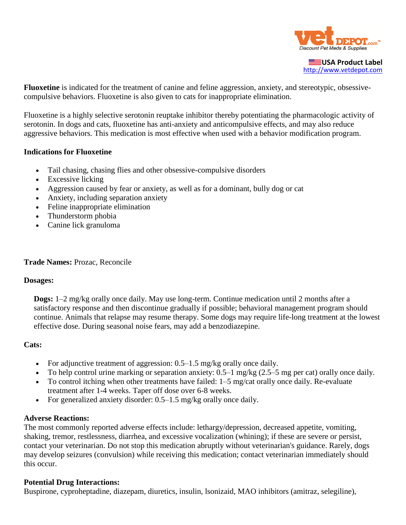

**USA Product Label** [http://www.vetdepot.com](http://www.vetdepot.com/)

**Fluoxetine** is indicated for the treatment of canine and feline aggression, anxiety, and stereotypic, obsessivecompulsive behaviors. Fluoxetine is also given to cats for inappropriate elimination.

Fluoxetine is a highly selective serotonin reuptake inhibitor thereby potentiating the pharmacologic activity of serotonin. In dogs and cats, fluoxetine has anti-anxiety and anticompulsive effects, and may also reduce aggressive behaviors. This medication is most effective when used with a behavior modification program.

## **Indications for Fluoxetine**

- Tail chasing, chasing flies and other obsessive-compulsive disorders
- Excessive licking
- Aggression caused by fear or anxiety, as well as for a dominant, bully dog or cat
- Anxiety, including separation anxiety
- Feline inappropriate elimination
- Thunderstorm phobia
- Canine lick granuloma

#### **Trade Names:** Prozac, Reconcile

### **Dosages:**

**Dogs:** 1–2 mg/kg orally once daily. May use long-term. Continue medication until 2 months after a satisfactory response and then discontinue gradually if possible; behavioral management program should continue. Animals that relapse may resume therapy. Some dogs may require life-long treatment at the lowest effective dose. During seasonal noise fears, may add a benzodiazepine.

### **Cats:**

- For adjunctive treatment of aggression:  $0.5-1.5$  mg/kg orally once daily.
- To help control urine marking or separation anxiety: 0.5–1 mg/kg (2.5–5 mg per cat) orally once daily.
- To control itching when other treatments have failed: 1–5 mg/cat orally once daily. Re-evaluate treatment after 1-4 weeks. Taper off dose over 6-8 weeks.
- For generalized anxiety disorder: 0.5–1.5 mg/kg orally once daily.

### **Adverse Reactions:**

The most commonly reported adverse effects include: lethargy/depression, decreased appetite, vomiting, shaking, tremor, restlessness, diarrhea, and excessive vocalization (whining); if these are severe or persist, contact your veterinarian. Do not stop this medication abruptly without veterinarian's guidance. Rarely, dogs may develop seizures (convulsion) while receiving this medication; contact veterinarian immediately should this occur.

### **Potential Drug Interactions:**

Buspirone, cyproheptadine, diazepam, diuretics, insulin, lsonizaid, MAO inhibitors (amitraz, selegiline),